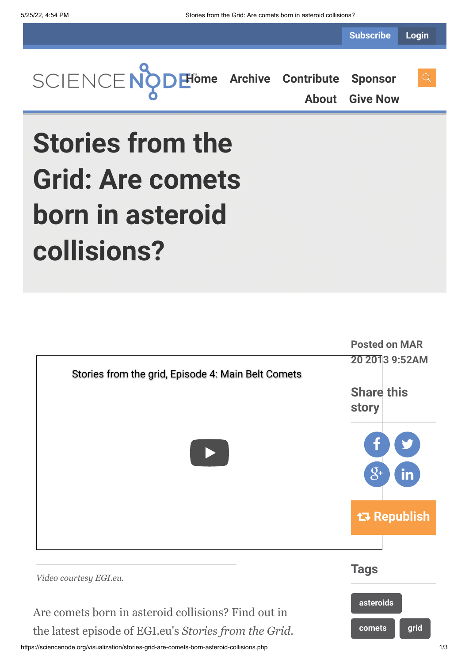**Subscribe Login**



**[About](https://sciencenode.org/about/index.php) [Give Now](https://sciencenode.org/donate/index.php)**

## **Stories from the Grid: Are comets born in asteroid collisions?**



https://sciencenode.org/visualization/stories-grid-are-comets-born-asteroid-collisions.php 1/3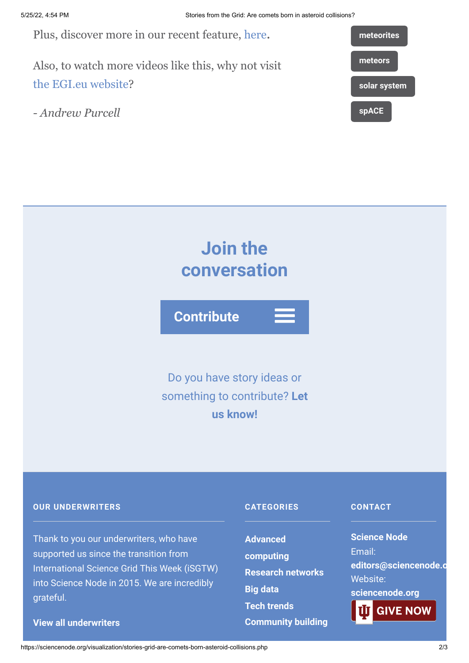